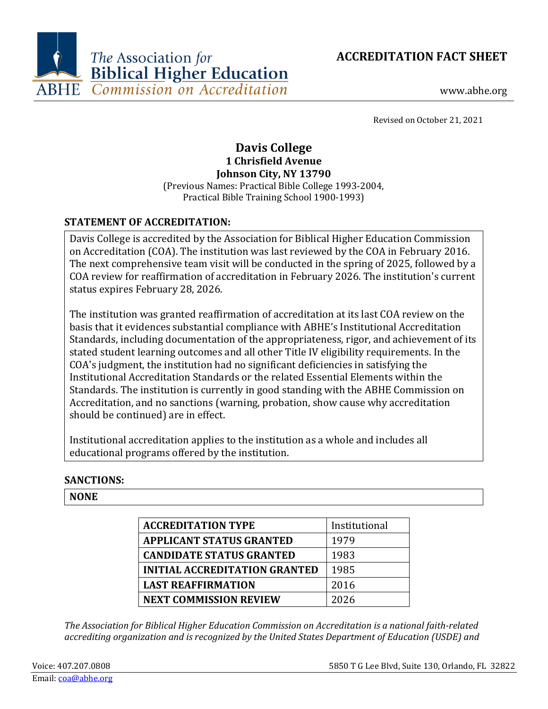



www.abhe.org

Revised on October 21, 2021

# **Davis College 1 Chrisfield Avenue Johnson City, NY 13790**

(Previous Names: Practical Bible College 1993-2004, Practical Bible Training School 1900-1993)

# **STATEMENT OF ACCREDITATION:**

Davis College is accredited by the Association for Biblical Higher Education Commission on Accreditation (COA). The institution was last reviewed by the COA in February 2016. The next comprehensive team visit will be conducted in the spring of 2025, followed by a COA review for reaffirmation of accreditation in February 2026. The institution's current status expires February 28, 2026.

The institution was granted reaffirmation of accreditation at its last COA review on the basis that it evidences substantial compliance with ABHE's Institutional Accreditation Standards, including documentation of the appropriateness, rigor, and achievement of its stated student learning outcomes and all other Title IV eligibility requirements. In the COA's judgment, the institution had no significant deficiencies in satisfying the Institutional Accreditation Standards or the related Essential Elements within the Standards. The institution is currently in good standing with the ABHE Commission on Accreditation, and no sanctions (warning, probation, show cause why accreditation should be continued) are in effect.

Institutional accreditation applies to the institution as a whole and includes all educational programs offered by the institution.

# **SANCTIONS:**

# **NONE**

| <b>ACCREDITATION TYPE</b>            |               |
|--------------------------------------|---------------|
|                                      | Institutional |
| <b>APPLICANT STATUS GRANTED</b>      | 1979          |
| <b>CANDIDATE STATUS GRANTED</b>      | 1983          |
| <b>INITIAL ACCREDITATION GRANTED</b> | 1985          |
| <b>LAST REAFFIRMATION</b>            | 2016          |
| <b>NEXT COMMISSION REVIEW</b>        | 2026          |

*The Association for Biblical Higher Education Commission on Accreditation is a national faith-related accrediting organization and is recognized by the United States Department of Education (USDE) and*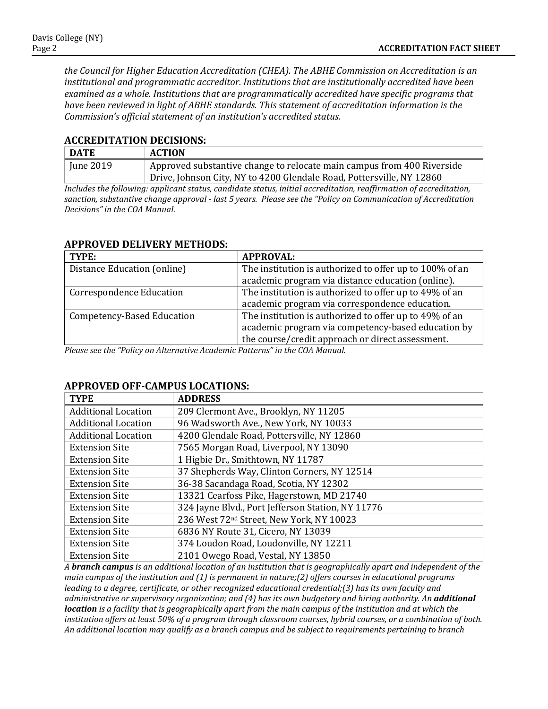*the Council for Higher Education Accreditation (CHEA). The ABHE Commission on Accreditation is an institutional and programmatic accreditor. Institutions that are institutionally accredited have been examined as a whole. Institutions that are programmatically accredited have specific programs that have been reviewed in light of ABHE standards. This statement of accreditation information is the Commission's official statement of an institution's accredited status.*

#### **ACCREDITATION DECISIONS:**

| <b>DATE</b> | <b>ACTION</b>                                                          |
|-------------|------------------------------------------------------------------------|
| June 2019   | Approved substantive change to relocate main campus from 400 Riverside |
|             | Drive, Johnson City, NY to 4200 Glendale Road, Pottersville, NY 12860  |

*Includes the following: applicant status, candidate status, initial accreditation, reaffirmation of accreditation, sanction, substantive change approval - last 5 years. Please see the "Policy on Communication of Accreditation Decisions" in the COA Manual.*

| TYPE:                             | <b>APPROVAL:</b>                                        |
|-----------------------------------|---------------------------------------------------------|
| Distance Education (online)       | The institution is authorized to offer up to 100% of an |
|                                   | academic program via distance education (online).       |
| <b>Correspondence Education</b>   | The institution is authorized to offer up to 49% of an  |
|                                   | academic program via correspondence education.          |
| <b>Competency-Based Education</b> | The institution is authorized to offer up to 49% of an  |
|                                   | academic program via competency-based education by      |
|                                   | the course/credit approach or direct assessment.        |

### **APPROVED DELIVERY METHODS:**

*Please see the "Policy on Alternative Academic Patterns" in the COA Manual.*

| <b>TYPE</b>                | <b>ADDRESS</b>                                       |
|----------------------------|------------------------------------------------------|
| <b>Additional Location</b> | 209 Clermont Ave., Brooklyn, NY 11205                |
| <b>Additional Location</b> | 96 Wadsworth Ave., New York, NY 10033                |
| <b>Additional Location</b> | 4200 Glendale Road, Pottersville, NY 12860           |
| <b>Extension Site</b>      | 7565 Morgan Road, Liverpool, NY 13090                |
| <b>Extension Site</b>      | 1 Higbie Dr., Smithtown, NY 11787                    |
| <b>Extension Site</b>      | 37 Shepherds Way, Clinton Corners, NY 12514          |
| <b>Extension Site</b>      | 36-38 Sacandaga Road, Scotia, NY 12302               |
| <b>Extension Site</b>      | 13321 Cearfoss Pike, Hagerstown, MD 21740            |
| <b>Extension Site</b>      | 324 Jayne Blvd., Port Jefferson Station, NY 11776    |
| <b>Extension Site</b>      | 236 West 72 <sup>nd</sup> Street, New York, NY 10023 |
| <b>Extension Site</b>      | 6836 NY Route 31, Cicero, NY 13039                   |
| <b>Extension Site</b>      | 374 Loudon Road, Loudonville, NY 12211               |
| <b>Extension Site</b>      | 2101 Owego Road, Vestal, NY 13850                    |

#### **APPROVED OFF-CAMPUS LOCATIONS:**

*A branch campus is an additional location of an institution that is geographically apart and independent of the main campus of the institution and (1) is permanent in nature;(2) offers courses in educational programs leading to a degree, certificate, or other recognized educational credential;(3) has its own faculty and administrative or supervisory organization; and (4) has its own budgetary and hiring authority. An additional location is a facility that is geographically apart from the main campus of the institution and at which the institution offers at least 50% of a program through classroom courses, hybrid courses, or a combination of both. An additional location may qualify as a branch campus and be subject to requirements pertaining to branch*